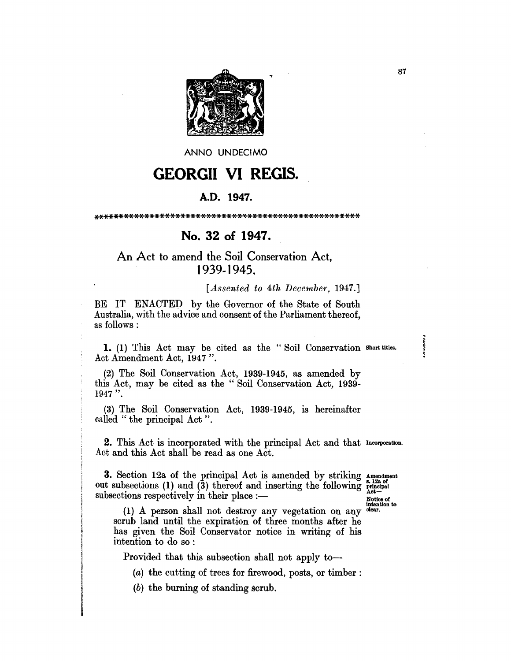

ANNO UNDECIMO

# **GEORGII VI REGIS.**

#### A.D. 1947.

### No. 32 of 1947.

## An Act to amend the Soil Conservation Act, 1939-1945.

#### [Assented to 4th December, 1947.]

BE IT ENACTED by the Governor of the State of South Australia, with the advice and consent of the Parliament thereof, as follows :

1. (1) This Act may be cited as the "Soil Conservation short titles. Act Amendment Act, 1947".

(2) The Soil Conservation Act, 1939-1945, as amended by this Act, may be cited as the "Soil Conservation Act, 1939- $1947$  ".

(3) The Soil Conservation Act, 1939-1945, is hereinafter called "the principal Act".

2. This Act is incorporated with the principal Act and that Incorporation. Act and this Act shall be read as one Act.

**3.** Section 12a of the principal Act is amended by striking amendment out subsections (1) and (3) thereof and inserting the following  $\frac{s-12a}{\text{total}}$ subsections respectively in their place :-

Notice of<br>intention to<br>clear.

(1) A person shall not destroy any vegetation on any scrub land until the expiration of three months after he has given the Soil Conservator notice in writing of his intention to do so:

Provided that this subsection shall not apply to-

(a) the cutting of trees for firewood, posts, or timber:

(b) the burning of standing scrub.